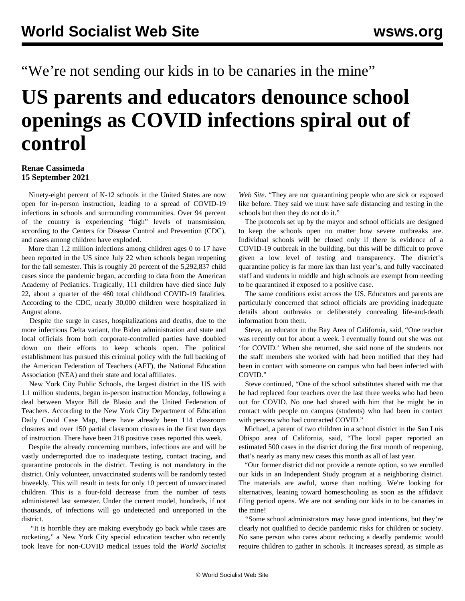## "We're not sending our kids in to be canaries in the mine"

## **US parents and educators denounce school openings as COVID infections spiral out of control**

## **Renae Cassimeda 15 September 2021**

 Ninety-eight percent of K-12 schools in the United States are now open for in-person instruction, leading to a spread of COVID-19 infections in schools and surrounding communities. Over 94 percent of the country is experiencing "high" levels of transmission, according to the Centers for Disease Control and Prevention (CDC), and cases among children have exploded.

 More than 1.2 million infections among children ages 0 to 17 have been reported in the US since July 22 when schools began reopening for the fall semester. This is roughly 20 percent of the 5,292,837 child cases since the pandemic began, according to data from the American Academy of Pediatrics. Tragically, 111 children have died since July 22, about a quarter of the 460 total childhood COVID-19 fatalities. According to the CDC, nearly 30,000 children were hospitalized in August alone.

 Despite the surge in cases, hospitalizations and deaths, due to the more infectious Delta variant, the Biden administration and state and local officials from both corporate-controlled parties have doubled down on their efforts to keep schools open. The political establishment has pursued this criminal policy with the full backing of the American Federation of Teachers (AFT), the National Education Association (NEA) and their state and local affiliates.

 New York City Public Schools, the largest district in the US with 1.1 million students, began in-person instruction Monday, following a deal between Mayor Bill de Blasio and the United Federation of Teachers. According to the New York City Department of Education Daily Covid Case Map, there have already been 114 classroom closures and over 150 partial classroom closures in the first two days of instruction. There have been 218 positive cases reported this week.

 Despite the already concerning numbers, infections are and will be vastly underreported due to inadequate testing, contact tracing, and quarantine protocols in the district. Testing is not mandatory in the district. Only volunteer, unvaccinated students will be randomly tested biweekly. This will result in tests for only 10 percent of unvaccinated children. This is a four-fold decrease from the number of tests administered last semester. Under the current model, hundreds, if not thousands, of infections will go undetected and unreported in the district.

 "It is horrible they are making everybody go back while cases are rocketing," a New York City special education teacher who recently took leave for non-COVID medical issues told the *World Socialist* *Web Site*. "They are not quarantining people who are sick or exposed like before. They said we must have safe distancing and testing in the schools but then they do not do it."

 The protocols set up by the mayor and school officials are designed to keep the schools open no matter how severe outbreaks are. Individual schools will be closed only if there is evidence of a COVID-19 outbreak in the building, but this will be difficult to prove given a low level of testing and transparency. The district's quarantine policy is far more lax than last year's, and fully vaccinated staff and students in middle and high schools are exempt from needing to be quarantined if exposed to a positive case.

 The same conditions exist across the US. Educators and parents are particularly concerned that school officials are providing inadequate details about outbreaks or deliberately concealing life-and-death information from them.

 Steve, an educator in the Bay Area of California, said, "One teacher was recently out for about a week. I eventually found out she was out 'for COVID.' When she returned, she said none of the students nor the staff members she worked with had been notified that they had been in contact with someone on campus who had been infected with COVID."

 Steve continued, "One of the school substitutes shared with me that he had replaced four teachers over the last three weeks who had been out for COVID. No one had shared with him that he might be in contact with people on campus (students) who had been in contact with persons who had contracted COVID."

 Michael, a parent of two children in a school district in the San Luis Obispo area of California, said, "The local paper reported an estimated 500 cases in the district during the first month of reopening, that's nearly as many new cases this month as all of last year.

 "Our former district did not provide a remote option, so we enrolled our kids in an Independent Study program at a neighboring district. The materials are awful, worse than nothing. We're looking for alternatives, leaning toward homeschooling as soon as the affidavit filing period opens. We are not sending our kids in to be canaries in the mine!

 "Some school administrators may have good intentions, but they're clearly not qualified to decide pandemic risks for children or society. No sane person who cares about reducing a deadly pandemic would require children to gather in schools. It increases spread, as simple as